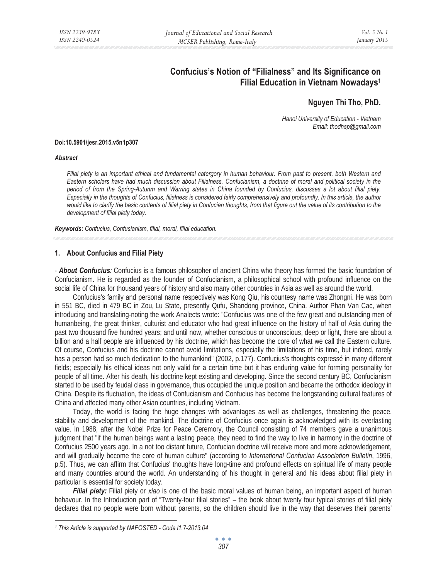# **Confucius's Notion of "Filialness" and Its Significance on Filial Education in Vietnam Nowadays1**

## **Nguyen Thi Tho, PhD.**

*Hanoi University of Education - Vietnam Email: thodhsp@gmail.com* 

#### **Doi:10.5901/jesr.2015.v5n1p307**

#### *Abstract*

*Filial piety is an important ethical and fundamental catergory in human behaviour. From past to present, both Western and Eastern scholars have had much discussion about Filialness. Confucianism, a doctrine of moral and political society in the period of from the Spring-Autunm and Warring states in China founded by Confucius, discusses a lot about filial piety. Especially in the thoughts of Confucius, filialness is considered fairly comprehensively and profoundly. In this article, the author*  would like to clarify the basic contents of filial piety in Confucian thoughts, from that figure out the value of its contribution to the *development of filial piety today.* 

*Keywords: Confucius, Confusianism, filial, moral, filial education.*

## **1. About Confucius and Filial Piety**

- *About Confucius:* Confucius is a famous philosopher of ancient China who theory has formed the basic foundation of Confucianism. He is regarded as the founder of Confucianism, a philosophical school with profound influence on the social life of China for thousand years of history and also many other countries in Asia as well as around the world.

Confucius's family and personal name respectively was Kong Qiu, his countesy name was Zhongni. He was born in 551 BC, died in 479 BC in Zou, Lu State, presently Qufu, Shandong province, China. Author Phan Van Cac, when introducing and translating-noting the work Analects wrote: "Confucius was one of the few great and outstanding men of humanbeing, the great thinker, culturist and educator who had great influence on the history of half of Asia during the past two thousand five hundred years; and until now, whether conscious or unconscious, deep or light, there are about a billion and a half people are influenced by his doctrine, which has become the core of what we call the Eastern culture. Of course, Confucius and his doctrine cannot avoid limitations, especially the limitations of his time, but indeed, rarely has a person had so much dedication to the humankind" (2002, p.177). Confucius's thoughts expressé in many different fields; especially his ethical ideas not only valid for a certain time but it has enduring value for forming personality for people of all time. After his death, his doctrine kept existing and developing. Since the second century BC, Confucianism started to be used by feudal class in governance, thus occupied the unique position and became the orthodox ideology in China. Despite its fluctuation, the ideas of Confucianism and Confucius has become the longstanding cultural features of China and affected many other Asian countries, including Vietnam.

Today, the world is facing the huge changes with advantages as well as challenges, threatening the peace, stability and development of the mankind. The doctrine of Confucius once again is acknowledged with its everlasting value. In 1988, after the Nobel Prize for Peace Ceremory, the Council consisting of 74 members gave a unanimous judgment that "if the human beings want a lasting peace, they need to find the way to live in harmony in the doctrine of Confucius 2500 years ago. In a not too distant future, Confucian doctrine will receive more and more acknowledgement, and will gradually become the core of human culture" (according to *International Confucian Association Bulletin*, 1996, p.5). Thus, we can affirm that Confucius' thoughts have long-time and profound effects on spiritual life of many people and many countries around the world. An understanding of his thought in general and his ideas about filial piety in particular is essential for society today.

*Filial piety:* Filial piety or *xiao* is one of the basic moral values of human being, an important aspect of human behavour. In the Introduction part of "Twenty-four filial stories" – the book about twenty four typical stories of filial piety declares that no people were born without parents, so the children should live in the way that deserves their parents'

*<sup>1</sup> This Article is supported by NAFOSTED - Code l1.7-2013.04*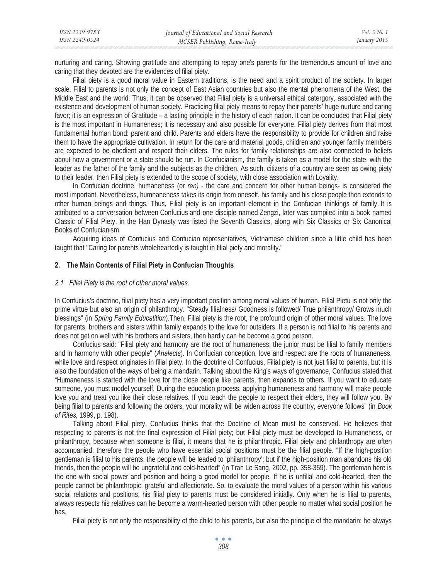| ISSN 2239-978X | Journal of Educational and Social Research | <i>Vol.</i> 5 $No.1$ |
|----------------|--------------------------------------------|----------------------|
| ISSN 2240-0524 | MCSER Publishing, Rome-Italy               | January 2015         |

nurturing and caring. Showing gratitude and attempting to repay one's parents for the tremendous amount of love and caring that they devoted are the evidences of filial piety.

Filial piety is a good moral value in Eastern traditions, is the need and a spirit product of the society. In larger scale, Filial to parents is not only the concept of East Asian countries but also the mental phenomena of the West, the Middle East and the world. Thus, it can be observed that Filial piety is a universal ethical catergory, associated with the existence and development of human society. Practicing filial piety means to repay their parents' huge nurture and caring favor; it is an expression of Gratitude – a lasting principle in the history of each nation. It can be concluded that Filial piety is the most important in Humaneness; it is necessary and also possible for everyone. Filial piety derives from that most fundamental human bond: parent and child. Parents and elders have the responsibility to provide for children and raise them to have the appropriate cultivation. In return for the care and material goods, children and younger family members are expected to be obedient and respect their elders. The rules for family relationships are also connected to beliefs about how a government or a state should be run. In Confucianism, the family is taken as a model for the state, with the leader as the father of the family and the subjects as the children. As such, citizens of a country are seen as owing piety to their leader, then Filial piety is extended to the scope of society, with close association with Loyality.

In Confucian doctrine, humaneness (or *ren)* - the care and concern for other human beings- is considered the most important. Nevertheless, humnaneness takes its origin from oneself, his family and his close people then extends to other human beings and things. Thus, Filial piety is an important element in the Confucian thinkings of family. It is attributed to a conversation between Confucius and one disciple named Zengzi, later was compiled into a book named Classic of Filial Piety, in the Han Dynasty was listed the Seventh Classics, along with Six Classics or Six Canonical Books of Confucianism.

Acquiring ideas of Confucius and Confucian representatives, Vietnamese children since a little child has been taught that "Caring for parents wholeheartedly is taught in filial piety and morality."

## **2. The Main Contents of Filial Piety in Confucian Thoughts**

#### *2.1 Filiel Piety is the root of other moral values.*

In Confucius's doctrine, filial piety has a very important position among moral values of human. Filial Pietu is not only the prime virtue but also an origin of philanthropy. "Steady filialness/ Goodness is followed/ True philanthropy/ Grows much blessings" (in *Spring Family Educatition*).Then, Filial piety is the root, the profound origin of other moral values. The love for parents, brothers and sisters within family expands to the love for outsiders. If a person is not filial to his parents and does not get on well with his brothers and sisters, then hardly can he become a good person.

Confucius said: "Filial piety and harmony are the root of humaneness; the junior must be filial to family members and in harmony with other people" (*Analects*). In Confucian conception, love and respect are the roots of humaneness, while love and respect originates in filial piety. In the doctrine of Confucius, Filial piety is not just filial to parents, but it is also the foundation of the ways of being a mandarin. Talking about the King's ways of governance, Confucius stated that "Humaneness is started with the love for the close people like parents, then expands to others. If you want to educate someone, you must model yourself. During the education process, applying humaneness and harmony will make people love you and treat you like their close relatives. If you teach the people to respect their elders, they will follow you. By being filial to parents and following the orders, your morality will be widen across the country, everyone follows" (in *Book of Rites,* 1999, p. 198).

Talking about Filial piety, Confucius thinks that the Doctrine of Mean must be conserved. He believes that respecting to parents is not the final expression of Filial piety; but Filial piety must be developed to Humaneness, or philanthropy, because when someone is filial, it means that he is philanthropic. Filial piety and philanthropy are often accompanied; therefore the people who have essential social positions must be the filial people. "If the high-position gentleman is filial to his parents, the people will be leaded to 'philanthropy'; but if the high-position man abandons his old friends, then the people will be ungrateful and cold-hearted" (in Tran Le Sang, 2002, pp. 358-359). The gentleman here is the one with social power and position and being a good model for people. If he is unfilial and cold-hearted, then the people cannot be philanthropic, grateful and affectionate. So, to evaluate the moral values of a person within his various social relations and positions, his filial piety to parents must be considered initially. Only when he is filial to parents, always respects his relatives can he become a warm-hearted person with other people no matter what social position he has.

Filial piety is not only the responsibility of the child to his parents, but also the principle of the mandarin: he always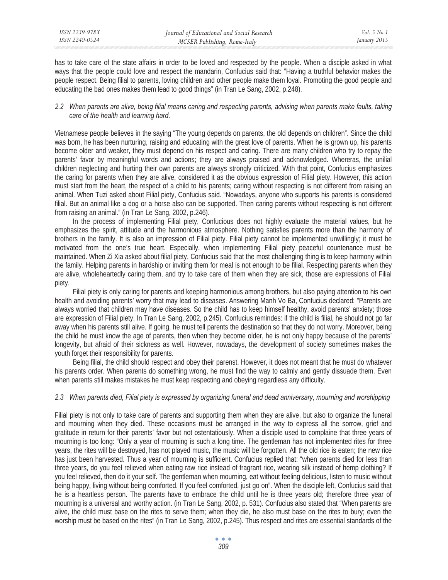has to take care of the state affairs in order to be loved and respected by the people. When a disciple asked in what ways that the people could love and respect the mandarin, Confucius said that: "Having a truthful behavior makes the people respect. Being filial to parents, loving children and other people make them loyal. Promoting the good people and educating the bad ones makes them lead to good things" (in Tran Le Sang, 2002, p.248).

## *2.2 When parents are alive, being filial means caring and respecting parents, advising when parents make faults, taking care of the health and learning hard.*

Vietnamese people believes in the saying "The young depends on parents, the old depends on children". Since the child was born, he has been nurturing, raising and educating with the great love of parents. When he is grown up, his parents become older and weaker, they must depend on his respect and caring. There are many children who try to repay the parents' favor by meaningful words and actions; they are always praised and acknowledged. Whereras, the unilial children neglecting and hurting their own parents are always strongly criticized. With that point, Confucius emphasizes the caring for parents when they are alive, considered it as the obvious expression of Filial piety. However, this action must start from the heart, the respect of a child to his parents; caring without respecting is not different from raising an animal. When Tuzi asked about Filial piety, Confucius said. "Nowadays, anyone who supports his parents is considered filial. But an animal like a dog or a horse also can be supported. Then caring parents without respecting is not different from raising an animal." (in Tran Le Sang, 2002, p.246).

In the process of implementing Filial piety, Confucious does not highly evaluate the material values, but he emphasizes the spirit, attitude and the harmonious atmosphere. Nothing satisfies parents more than the harmony of brothers in the family. It is also an impression of Filial piety. Filial piety cannot be implemented unwillingly; it must be motivated from the one's true heart. Especially, when implementing Filial piety peaceful countenance must be maintained. When Zi Xia asked about filial piety, Confucius said that the most challenging thing is to keep harmony within the family. Helping parents in hardship or inviting them for meal is not enough to be filial. Respecting parents when they are alive, wholeheartedly caring them, and try to take care of them when they are sick, those are expressions of Filial piety.

Filial piety is only caring for parents and keeping harmonious among brothers, but also paying attention to his own health and avoiding parents' worry that may lead to diseases. Answering Manh Vo Ba, Confucius declared: "Parents are always worried that children may have diseases. So the child has to keep himself healthy, avoid parents' anxiety; those are expression of Filial piety. In Tran Le Sang, 2002, p.245). Confucius remindes: if the child is filial, he should not go far away when his parents still alive. If going, he must tell parents the destination so that they do not worry. Moreover, being the child he must know the age of parents, then when they become older, he is not only happy because of the parents' longevity, but afraid of their sickness as well. However, nowadays, the development of society sometimes makes the youth forget their responsibility for parents.

Being filial, the child should respect and obey their parenst. However, it does not meant that he must do whatever his parents order. When parents do something wrong, he must find the way to calmly and gently dissuade them. Even when parents still makes mistakes he must keep respecting and obeying regardless any difficulty.

## *2.3 When parents died, Filial piety is expressed by organizing funeral and dead anniversary, mourning and worshipping*

Filial piety is not only to take care of parents and supporting them when they are alive, but also to organize the funeral and mourning when they died. These occasions must be arranged in the way to express all the sorrow, grief and gratitude in return for their parents' favor but not ostentatiously. When a disciple used to complaine that three years of mourning is too long: "Only a year of mourning is such a long time. The gentleman has not implemented rites for three years, the rites will be destroyed, has not played music, the music will be forgotten. All the old rice is eaten; the new rice has just been harvested. Thus a year of mourning is sufficient. Confucius replied that: "when parents died for less than three years, do you feel relieved when eating raw rice instead of fragrant rice, wearing silk instead of hemp clothing? If you feel relieved, then do it your self. The gentleman when mourning, eat without feeling delicious, listen to music without being happy, living without being comforted. If you feel comforted, just go on". When the disciple left, Confucius said that he is a heartless person. The parents have to embrace the child until he is three years old; therefore three year of mourning is a universal and worthy action. (in Tran Le Sang, 2002, p. 531). Confucius also stated that "When parents are alive, the child must base on the rites to serve them; when they die, he also must base on the rites to bury; even the worship must be based on the rites" (in Tran Le Sang, 2002, p.245). Thus respect and rites are essential standards of the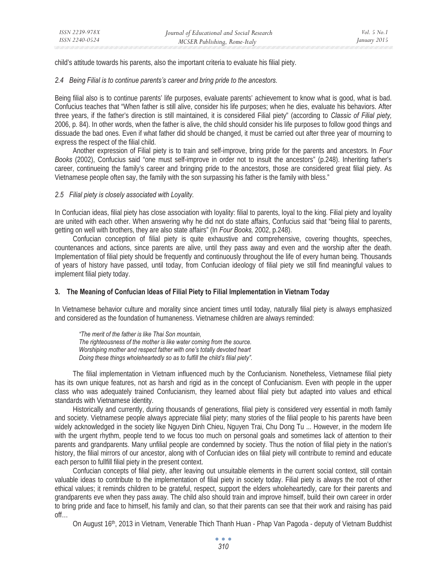child's attitude towards his parents, also the important criteria to evaluate his filial piety.

## *2.4 Being Filial is to continue parents's career and bring pride to the ancestors.*

Being filial also is to continue parents' life purposes, evaluate parents' achievement to know what is good, what is bad. Confucius teaches that "When father is still alive, consider his life purposes; when he dies, evaluate his behaviors. After three years, if the father's direction is still maintained, it is considered Filial piety" (according to *Classic of Filial piety,*  2006, p. 84). In other words, when the father is alive, the child should consider his life purposes to follow good things and dissuade the bad ones. Even if what father did should be changed, it must be carried out after three year of mourning to express the respect of the filial child.

Another expression of Filial piety is to train and self-improve, bring pride for the parents and ancestors. In *Four Books* (2002), Confucius said "one must self-improve in order not to insult the ancestors" (p.248). Inheriting father's career, continueing the family's career and bringing pride to the ancestors, those are considered great filial piety. As Vietnamese people often say, the family with the son surpassing his father is the family with bless."

## *2.5 Filial piety is closely associated with Loyality.*

In Confucian ideas, filial piety has close association with loyality: filial to parents, loyal to the king. Filial piety and loyality are united with each other. When answering why he did not do state affairs, Confucius said that "being filial to parents, getting on well with brothers, they are also state affairs" (In *Four Books,* 2002, p.248).

Confucian conception of filial piety is quite exhaustive and comprehensive, covering thoughts, speeches, countenances and actions, since parents are alive, until they pass away and even and the worship after the death. Implementation of filial piety should be frequently and continuously throughout the life of every human being. Thousands of years of history have passed, until today, from Confucian ideology of filial piety we still find meaningful values to implement filial piety today.

## **3. The Meaning of Confucian Ideas of Filial Piety to Filial Implementation in Vietnam Today**

In Vietnamese behavior culture and morality since ancient times until today, naturally filial piety is always emphasized and considered as the foundation of humaneness. Vietnamese children are always reminded:

*"The merit of the father is like Thai Son mountain, The righteousness of the mother is like water coming from the source. Worshiping mother and respect father with one's totally devoted heart Doing these things wholeheartedly so as to fulfill the child's filial piety".* 

The filial implementation in Vietnam influenced much by the Confucianism. Nonetheless, Vietnamese filial piety has its own unique features, not as harsh and rigid as in the concept of Confucianism. Even with people in the upper class who was adequately trained Confucianism, they learned about filial piety but adapted into values and ethical standards with Vietnamese identity.

Historically and currently, during thousands of generations, filial piety is considered very essential in moth family and society. Vietnamese people always appreciate filial piety; many stories of the filial people to his parents have been widely acknowledged in the society like Nguyen Dinh Chieu, Nguyen Trai, Chu Dong Tu ... However, in the modern life with the urgent rhythm, people tend to we focus too much on personal goals and sometimes lack of attention to their parents and grandparents. Many unfilial people are condemned by society. Thus the notion of filial piety in the nation's history, the filial mirrors of our ancestor, along with of Confucian ides on filial piety will contribute to remind and educate each person to fullfill filial piety in the present context.

Confucian concepts of filial piety, after leaving out unsuitable elements in the current social context, still contain valuable ideas to contribute to the implementation of filial piety in society today. Filial piety is always the root of other ethical values; it reminds children to be grateful, respect, support the elders wholeheartedly, care for their parents and grandparents eve when they pass away. The child also should train and improve himself, build their own career in order to bring pride and face to himself, his family and clan, so that their parents can see that their work and raising has paid off…

On August 16th, 2013 in Vietnam, Venerable Thich Thanh Huan - Phap Van Pagoda - deputy of Vietnam Buddhist